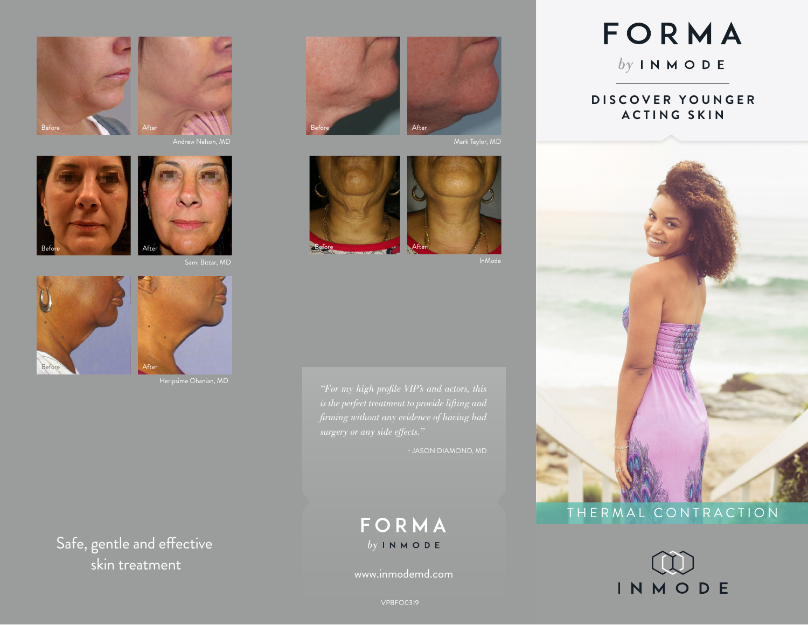



Andrew Nelson, MD





Sami Bittar, MD



Heripsime Ohanian, MD

Safe, gentle and effective skin treatment www.inmodemd.com





Mark Taylor, MD





- JASON DIAMOND, MD

# FORMA  $by IN MODE$

# FORMA

 $by INMODE$ 

#### **D I S C O V E R Y O U N G E R ACTING SKIN**



## THERMAL CONTRACTION



VPBFO0319